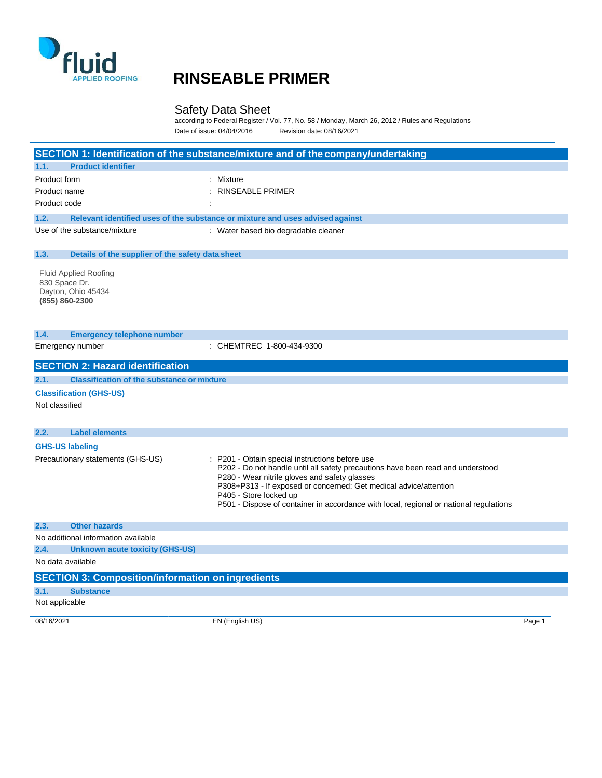

#### Safety Data Sheet

according to Federal Register / Vol. 77, No. 58 / Monday, March 26, 2012 / Rules and Regulations Date of issue: 04/04/2016 Revision date: 08/16/2021

|                                                                                       | SECTION 1: Identification of the substance/mixture and of the company/undertaking                                                                                                                                                                                                                                                                                            |        |
|---------------------------------------------------------------------------------------|------------------------------------------------------------------------------------------------------------------------------------------------------------------------------------------------------------------------------------------------------------------------------------------------------------------------------------------------------------------------------|--------|
| 1.1.<br><b>Product identifier</b>                                                     |                                                                                                                                                                                                                                                                                                                                                                              |        |
| Product form                                                                          | Mixture                                                                                                                                                                                                                                                                                                                                                                      |        |
| Product name                                                                          | <b>RINSEABLE PRIMER</b>                                                                                                                                                                                                                                                                                                                                                      |        |
| Product code                                                                          |                                                                                                                                                                                                                                                                                                                                                                              |        |
| 1.2.                                                                                  | Relevant identified uses of the substance or mixture and uses advised against                                                                                                                                                                                                                                                                                                |        |
| Use of the substance/mixture                                                          | : Water based bio degradable cleaner                                                                                                                                                                                                                                                                                                                                         |        |
| 1.3.<br>Details of the supplier of the safety data sheet                              |                                                                                                                                                                                                                                                                                                                                                                              |        |
| <b>Fluid Applied Roofing</b><br>830 Space Dr.<br>Dayton, Ohio 45434<br>(855) 860-2300 |                                                                                                                                                                                                                                                                                                                                                                              |        |
| 1.4.<br><b>Emergency telephone number</b>                                             |                                                                                                                                                                                                                                                                                                                                                                              |        |
| Emergency number                                                                      | : CHEMTREC 1-800-434-9300                                                                                                                                                                                                                                                                                                                                                    |        |
| Not classified                                                                        |                                                                                                                                                                                                                                                                                                                                                                              |        |
| 2.2.<br><b>Label elements</b>                                                         |                                                                                                                                                                                                                                                                                                                                                                              |        |
| <b>GHS-US labeling</b><br>Precautionary statements (GHS-US)                           | : P201 - Obtain special instructions before use<br>P202 - Do not handle until all safety precautions have been read and understood<br>P280 - Wear nitrile gloves and safety glasses<br>P308+P313 - If exposed or concerned: Get medical advice/attention<br>P405 - Store locked up<br>P501 - Dispose of container in accordance with local, regional or national regulations |        |
| <b>Other hazards</b><br>2.3.                                                          |                                                                                                                                                                                                                                                                                                                                                                              |        |
| No additional information available                                                   |                                                                                                                                                                                                                                                                                                                                                                              |        |
| 2.4.<br><b>Unknown acute toxicity (GHS-US)</b>                                        |                                                                                                                                                                                                                                                                                                                                                                              |        |
| No data available                                                                     |                                                                                                                                                                                                                                                                                                                                                                              |        |
| <b>SECTION 3: Composition/information on ingredients</b>                              |                                                                                                                                                                                                                                                                                                                                                                              |        |
| 3.1.<br><b>Substance</b>                                                              |                                                                                                                                                                                                                                                                                                                                                                              |        |
| Not applicable                                                                        |                                                                                                                                                                                                                                                                                                                                                                              |        |
| 08/16/2021                                                                            | EN (English US)                                                                                                                                                                                                                                                                                                                                                              | Page 1 |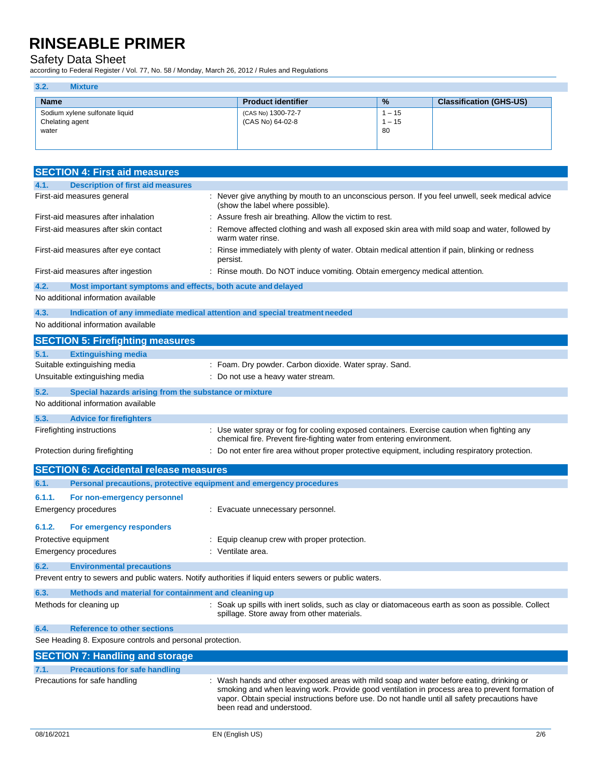#### Safety Data Sheet

according to Federal Register / Vol. 77, No. 58 / Monday, March 26, 2012 / Rules and Regulations

| 3.2.<br><b>Mixture</b>         |                           |               |                                |
|--------------------------------|---------------------------|---------------|--------------------------------|
| <b>Name</b>                    | <b>Product identifier</b> | $\frac{9}{6}$ | <b>Classification (GHS-US)</b> |
| Sodium xylene sulfonate liquid | (CAS No) 1300-72-7        | $1 - 15$      |                                |
| Chelating agent                | (CAS No) 64-02-8          | $1 - 15$      |                                |
| water                          |                           | -80           |                                |
|                                |                           |               |                                |

| <b>SECTION 4: First aid measures</b>                                                                                                                          |                                                                                                                                                                                                                                                                                                                          |  |  |
|---------------------------------------------------------------------------------------------------------------------------------------------------------------|--------------------------------------------------------------------------------------------------------------------------------------------------------------------------------------------------------------------------------------------------------------------------------------------------------------------------|--|--|
| <b>Description of first aid measures</b><br>4.1.                                                                                                              |                                                                                                                                                                                                                                                                                                                          |  |  |
| First-aid measures general                                                                                                                                    | : Never give anything by mouth to an unconscious person. If you feel unwell, seek medical advice<br>(show the label where possible).                                                                                                                                                                                     |  |  |
| First-aid measures after inhalation                                                                                                                           | Assure fresh air breathing. Allow the victim to rest.                                                                                                                                                                                                                                                                    |  |  |
| First-aid measures after skin contact<br>: Remove affected clothing and wash all exposed skin area with mild soap and water, followed by<br>warm water rinse. |                                                                                                                                                                                                                                                                                                                          |  |  |
| First-aid measures after eye contact<br>Rinse immediately with plenty of water. Obtain medical attention if pain, blinking or redness<br>persist.             |                                                                                                                                                                                                                                                                                                                          |  |  |
| First-aid measures after ingestion                                                                                                                            | : Rinse mouth. Do NOT induce vomiting. Obtain emergency medical attention.                                                                                                                                                                                                                                               |  |  |
| 4.2.<br>Most important symptoms and effects, both acute and delayed                                                                                           |                                                                                                                                                                                                                                                                                                                          |  |  |
| No additional information available                                                                                                                           |                                                                                                                                                                                                                                                                                                                          |  |  |
| 4.3.                                                                                                                                                          | Indication of any immediate medical attention and special treatment needed                                                                                                                                                                                                                                               |  |  |
| No additional information available                                                                                                                           |                                                                                                                                                                                                                                                                                                                          |  |  |
| <b>SECTION 5: Firefighting measures</b>                                                                                                                       |                                                                                                                                                                                                                                                                                                                          |  |  |
| <b>Extinguishing media</b><br>5.1.                                                                                                                            |                                                                                                                                                                                                                                                                                                                          |  |  |
| Suitable extinguishing media                                                                                                                                  | : Foam. Dry powder. Carbon dioxide. Water spray. Sand.                                                                                                                                                                                                                                                                   |  |  |
| Unsuitable extinguishing media                                                                                                                                | : Do not use a heavy water stream.                                                                                                                                                                                                                                                                                       |  |  |
| 5.2.<br>Special hazards arising from the substance or mixture                                                                                                 |                                                                                                                                                                                                                                                                                                                          |  |  |
| No additional information available                                                                                                                           |                                                                                                                                                                                                                                                                                                                          |  |  |
| 5.3.<br><b>Advice for firefighters</b>                                                                                                                        |                                                                                                                                                                                                                                                                                                                          |  |  |
| Firefighting instructions                                                                                                                                     | : Use water spray or fog for cooling exposed containers. Exercise caution when fighting any<br>chemical fire. Prevent fire-fighting water from entering environment.                                                                                                                                                     |  |  |
| Protection during firefighting                                                                                                                                | Do not enter fire area without proper protective equipment, including respiratory protection.                                                                                                                                                                                                                            |  |  |
| <b>SECTION 6: Accidental release measures</b>                                                                                                                 |                                                                                                                                                                                                                                                                                                                          |  |  |
| 6.1.<br>Personal precautions, protective equipment and emergency procedures                                                                                   |                                                                                                                                                                                                                                                                                                                          |  |  |
| 6.1.1.<br>For non-emergency personnel                                                                                                                         |                                                                                                                                                                                                                                                                                                                          |  |  |
| Emergency procedures                                                                                                                                          | : Evacuate unnecessary personnel.                                                                                                                                                                                                                                                                                        |  |  |
| 6.1.2.<br>For emergency responders                                                                                                                            |                                                                                                                                                                                                                                                                                                                          |  |  |
| Protective equipment                                                                                                                                          | : Equip cleanup crew with proper protection.                                                                                                                                                                                                                                                                             |  |  |
| Emergency procedures                                                                                                                                          | : Ventilate area.                                                                                                                                                                                                                                                                                                        |  |  |
| 6.2.<br><b>Environmental precautions</b>                                                                                                                      |                                                                                                                                                                                                                                                                                                                          |  |  |
| Prevent entry to sewers and public waters. Notify authorities if liquid enters sewers or public waters.                                                       |                                                                                                                                                                                                                                                                                                                          |  |  |
| 6.3.<br>Methods and material for containment and cleaning up                                                                                                  |                                                                                                                                                                                                                                                                                                                          |  |  |
| Methods for cleaning up                                                                                                                                       | : Soak up spills with inert solids, such as clay or diatomaceous earth as soon as possible. Collect<br>spillage. Store away from other materials.                                                                                                                                                                        |  |  |
| 6.4.<br><b>Reference to other sections</b>                                                                                                                    |                                                                                                                                                                                                                                                                                                                          |  |  |
| See Heading 8. Exposure controls and personal protection.                                                                                                     |                                                                                                                                                                                                                                                                                                                          |  |  |
| <b>SECTION 7: Handling and storage</b>                                                                                                                        |                                                                                                                                                                                                                                                                                                                          |  |  |
| <b>Precautions for safe handling</b><br>7.1.                                                                                                                  |                                                                                                                                                                                                                                                                                                                          |  |  |
| Precautions for safe handling                                                                                                                                 | Wash hands and other exposed areas with mild soap and water before eating, drinking or<br>smoking and when leaving work. Provide good ventilation in process area to prevent formation of<br>vapor. Obtain special instructions before use. Do not handle until all safety precautions have<br>been read and understood. |  |  |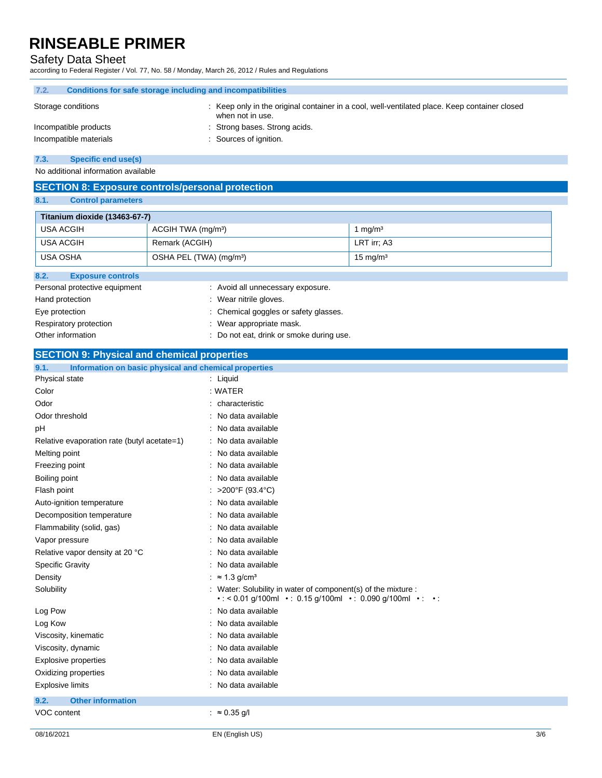### Safety Data Sheet

according to Federal Register / Vol. 77, No. 58 / Monday, March 26, 2012 / Rules and Regulations

| 7.2.                   | Conditions for safe storage including and incompatibilities                                                     |  |  |
|------------------------|-----------------------------------------------------------------------------------------------------------------|--|--|
| Storage conditions     | Keep only in the original container in a cool, well-ventilated place. Keep container closed<br>when not in use. |  |  |
| Incompatible products  | : Strong bases. Strong acids.                                                                                   |  |  |
| Incompatible materials | : Sources of ignition.                                                                                          |  |  |
|                        |                                                                                                                 |  |  |

**7.3. Specific end use(s)**

No additional information available

#### **SECTION 8: Exposure controls/personal protection**

#### **8.1. Control parameters**

| Titanium dioxide (13463-67-7)                      |                                                                                                                                                              |                     |
|----------------------------------------------------|--------------------------------------------------------------------------------------------------------------------------------------------------------------|---------------------|
| <b>USA ACGIH</b><br>ACGIH TWA (mg/m <sup>3</sup> ) |                                                                                                                                                              | 1 mg/m $3$          |
| <b>USA ACGIH</b>                                   | Remark (ACGIH)                                                                                                                                               | LRT irr; A3         |
| <b>USA OSHA</b>                                    | OSHA PEL (TWA) (mg/m <sup>3</sup> )                                                                                                                          | $15 \text{ mg/m}^3$ |
| <b>Exposure controls</b><br>8.2.                   |                                                                                                                                                              |                     |
| Personal protective equipment                      | : Avoid all unnecessary exposure.                                                                                                                            |                     |
| Hand protection                                    | : Wear nitrile gloves.                                                                                                                                       |                     |
| Eye protection                                     | : Chemical goggles or safety glasses.                                                                                                                        |                     |
| Respiratory protection                             | : Wear appropriate mask.                                                                                                                                     |                     |
| Other information                                  | : Do not eat, drink or smoke during use.                                                                                                                     |                     |
| <b>SECTION 9: Physical and chemical properties</b> |                                                                                                                                                              |                     |
| 9.1.                                               | Information on basic physical and chemical properties                                                                                                        |                     |
| Physical state                                     | : Liquid                                                                                                                                                     |                     |
| Color                                              | : WATER                                                                                                                                                      |                     |
| Odor                                               | : characteristic                                                                                                                                             |                     |
| Odor threshold                                     | : No data available                                                                                                                                          |                     |
| рH                                                 | : No data available                                                                                                                                          |                     |
| Relative evaporation rate (butyl acetate=1)        | : No data available                                                                                                                                          |                     |
| Melting point                                      | : No data available                                                                                                                                          |                     |
| Freezing point                                     | : No data available                                                                                                                                          |                     |
| Boiling point                                      | : No data available                                                                                                                                          |                     |
| Flash point                                        | : >200°F (93.4°C)                                                                                                                                            |                     |
| Auto-ignition temperature                          | : No data available                                                                                                                                          |                     |
| Decomposition temperature                          | : No data available                                                                                                                                          |                     |
| Flammability (solid, gas)                          | : No data available                                                                                                                                          |                     |
| Vapor pressure                                     | : No data available                                                                                                                                          |                     |
| Relative vapor density at 20 °C                    | : No data available                                                                                                                                          |                     |
| <b>Specific Gravity</b>                            | : No data available                                                                                                                                          |                     |
| Density                                            | : $\approx 1.3$ g/cm <sup>3</sup>                                                                                                                            |                     |
| Solubility                                         | : Water: Solubility in water of component(s) of the mixture :<br>$\cdot$ : < 0.01 g/100ml $\cdot$ : 0.15 g/100ml $\cdot$ : 0.090 g/100ml $\cdot$ : $\cdot$ : |                     |
| Log Pow                                            | : No data available                                                                                                                                          |                     |
| Log Kow                                            | : No data available                                                                                                                                          |                     |
| Viscosity, kinematic                               | : No data available                                                                                                                                          |                     |

Viscosity, dynamic **intervalse in the Contract of Contract Available** : No data available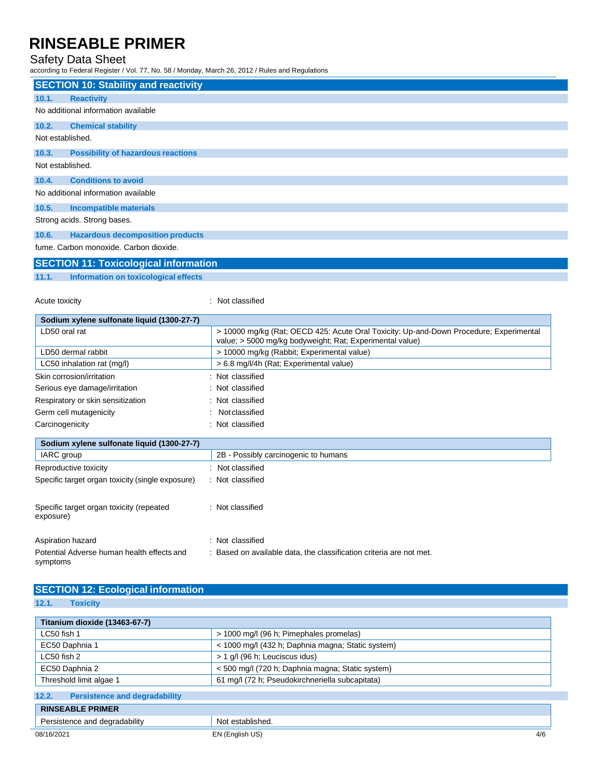### Safety Data Sheet

according to Federal Register / Vol. 77, No. 58 / Monday, March 26, 2012 / Rules and Regulations

|                                     | <b>SECTION 10: Stability and reactivity</b> |  |  |  |  |
|-------------------------------------|---------------------------------------------|--|--|--|--|
| 10.1.                               | <b>Reactivity</b>                           |  |  |  |  |
|                                     | No additional information available         |  |  |  |  |
| 10.2.                               | <b>Chemical stability</b>                   |  |  |  |  |
| Not established.                    |                                             |  |  |  |  |
| 10.3.                               | <b>Possibility of hazardous reactions</b>   |  |  |  |  |
|                                     | Not established.                            |  |  |  |  |
| 10.4.                               | <b>Conditions to avoid</b>                  |  |  |  |  |
| No additional information available |                                             |  |  |  |  |
| 10.5.                               | Incompatible materials                      |  |  |  |  |
| Strong acids. Strong bases.         |                                             |  |  |  |  |
| 10.6.                               | <b>Hazardous decomposition products</b>     |  |  |  |  |
|                                     | fume. Carbon monoxide. Carbon dioxide.      |  |  |  |  |

### **SECTION 11: Toxicological information**

**11.1. Information on toxicological effects**

Acute toxicity in the contract of the contract of the contract of the contract of the contract of the contract of the contract of the contract of the contract of the contract of the contract of the contract of the contract

| Sodium xylene sulfonate liquid (1300-27-7) |                                                                                                                                                    |  |  |  |
|--------------------------------------------|----------------------------------------------------------------------------------------------------------------------------------------------------|--|--|--|
| LD50 oral rat                              | > 10000 mg/kg (Rat; OECD 425: Acute Oral Toxicity: Up-and-Down Procedure; Experimental<br>value; > 5000 mg/kg bodyweight; Rat; Experimental value) |  |  |  |
| LD50 dermal rabbit                         | > 10000 mg/kg (Rabbit; Experimental value)                                                                                                         |  |  |  |
| LC50 inhalation rat (mg/l)                 | > 6.8 mg/l/4h (Rat; Experimental value)                                                                                                            |  |  |  |
| Skin corrosion/irritation                  | : Not classified                                                                                                                                   |  |  |  |
| Serious eye damage/irritation              | : Not classified                                                                                                                                   |  |  |  |
| Respiratory or skin sensitization          | : Not classified                                                                                                                                   |  |  |  |
| Germ cell mutagenicity                     | Not classified                                                                                                                                     |  |  |  |
| Carcinogenicity                            | : Not classified                                                                                                                                   |  |  |  |
| Sodium vylane sulfonate liquid (1300-27-7) |                                                                                                                                                    |  |  |  |

| <b>OUGHAIL AVIOLUT SUITUITURE INGHU (TOUT ET T)</b>    |                                                                   |  |
|--------------------------------------------------------|-------------------------------------------------------------------|--|
| IARC group                                             | 2B - Possibly carcinogenic to humans                              |  |
| Reproductive toxicity                                  | Not classified                                                    |  |
| Specific target organ toxicity (single exposure)       | : Not classified                                                  |  |
| Specific target organ toxicity (repeated<br>exposure)  | : Not classified                                                  |  |
| Aspiration hazard                                      | : Not classified                                                  |  |
| Potential Adverse human health effects and<br>symptoms | Based on available data, the classification criteria are not met. |  |

#### **SECTION 12: Ecological information**

**12.1. Toxicity**

| Titanium dioxide (13463-67-7)                                              |                        |  |
|----------------------------------------------------------------------------|------------------------|--|
| LC50 fish 1<br>> 1000 mg/l (96 h; Pimephales promelas)                     |                        |  |
| < 1000 mg/l (432 h; Daphnia magna; Static system)<br>EC50 Daphnia 1        |                        |  |
| > 1 g/l (96 h; Leuciscus idus)<br>LC50 fish 2                              |                        |  |
| < 500 mg/l (720 h; Daphnia magna; Static system)<br>EC50 Daphnia 2         |                        |  |
| 61 mg/l (72 h; Pseudokirchneriella subcapitata)<br>Threshold limit algae 1 |                        |  |
| 12.2.<br><b>Persistence and degradability</b>                              |                        |  |
| <b>RINSEABLE PRIMER</b>                                                    |                        |  |
| Persistence and degradability<br>Not established.                          |                        |  |
| 08/16/2021                                                                 | EN (English US)<br>4/6 |  |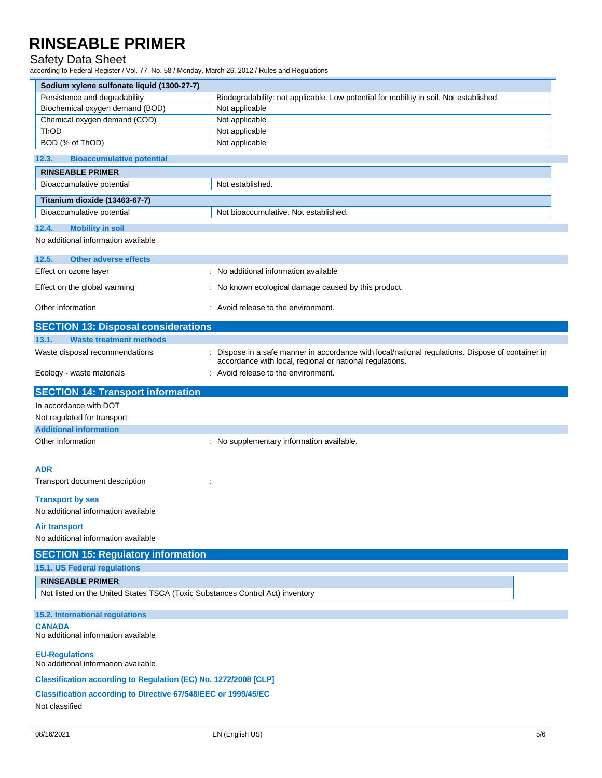#### Safety Data Sheet

according to Federal Register / Vol. 77, No. 58 / Monday, March 26, 2012 / Rules and Regulations

| Sodium xylene sulfonate liquid (1300-27-7)                                                                              |                                                                                                                                                               |  |  |  |
|-------------------------------------------------------------------------------------------------------------------------|---------------------------------------------------------------------------------------------------------------------------------------------------------------|--|--|--|
| Persistence and degradability<br>Biodegradability: not applicable. Low potential for mobility in soil. Not established. |                                                                                                                                                               |  |  |  |
| Biochemical oxygen demand (BOD)                                                                                         | Not applicable                                                                                                                                                |  |  |  |
| Chemical oxygen demand (COD)<br>Not applicable                                                                          |                                                                                                                                                               |  |  |  |
| ThOD<br>Not applicable<br>BOD (% of ThOD)<br>Not applicable                                                             |                                                                                                                                                               |  |  |  |
|                                                                                                                         |                                                                                                                                                               |  |  |  |
| 12.3.<br><b>Bioaccumulative potential</b>                                                                               |                                                                                                                                                               |  |  |  |
| <b>RINSEABLE PRIMER</b><br>Bioaccumulative potential                                                                    | Not established.                                                                                                                                              |  |  |  |
|                                                                                                                         |                                                                                                                                                               |  |  |  |
| Titanium dioxide (13463-67-7)<br>Bioaccumulative potential                                                              | Not bioaccumulative. Not established.                                                                                                                         |  |  |  |
| 12.4.<br><b>Mobility in soil</b>                                                                                        |                                                                                                                                                               |  |  |  |
| No additional information available                                                                                     |                                                                                                                                                               |  |  |  |
| 12.5.<br><b>Other adverse effects</b>                                                                                   |                                                                                                                                                               |  |  |  |
| Effect on ozone layer                                                                                                   | : No additional information available                                                                                                                         |  |  |  |
| Effect on the global warming                                                                                            | : No known ecological damage caused by this product.                                                                                                          |  |  |  |
| Other information                                                                                                       | : Avoid release to the environment.                                                                                                                           |  |  |  |
| <b>SECTION 13: Disposal considerations</b>                                                                              |                                                                                                                                                               |  |  |  |
| 13.1.<br><b>Waste treatment methods</b>                                                                                 |                                                                                                                                                               |  |  |  |
| Waste disposal recommendations                                                                                          | : Dispose in a safe manner in accordance with local/national regulations. Dispose of container in<br>accordance with local, regional or national regulations. |  |  |  |
| Ecology - waste materials                                                                                               | : Avoid release to the environment.                                                                                                                           |  |  |  |
| <b>SECTION 14: Transport information</b>                                                                                |                                                                                                                                                               |  |  |  |
| In accordance with DOT                                                                                                  |                                                                                                                                                               |  |  |  |
| Not regulated for transport                                                                                             |                                                                                                                                                               |  |  |  |
| <b>Additional information</b>                                                                                           |                                                                                                                                                               |  |  |  |
| Other information                                                                                                       | : No supplementary information available.                                                                                                                     |  |  |  |
| <b>ADR</b>                                                                                                              |                                                                                                                                                               |  |  |  |
| Transport document description                                                                                          |                                                                                                                                                               |  |  |  |
|                                                                                                                         |                                                                                                                                                               |  |  |  |
| <b>Transport by sea</b>                                                                                                 |                                                                                                                                                               |  |  |  |
| No additional information available                                                                                     |                                                                                                                                                               |  |  |  |
| <b>Air transport</b><br>No additional information available                                                             |                                                                                                                                                               |  |  |  |
|                                                                                                                         |                                                                                                                                                               |  |  |  |
| <b>SECTION 15: Regulatory information</b>                                                                               |                                                                                                                                                               |  |  |  |
| 15.1. US Federal regulations                                                                                            |                                                                                                                                                               |  |  |  |
| <b>RINSEABLE PRIMER</b><br>Not listed on the United States TSCA (Toxic Substances Control Act) inventory                |                                                                                                                                                               |  |  |  |
|                                                                                                                         |                                                                                                                                                               |  |  |  |
| 15.2. International regulations                                                                                         |                                                                                                                                                               |  |  |  |
| <b>CANADA</b><br>No additional information available                                                                    |                                                                                                                                                               |  |  |  |
| <b>EU-Regulations</b><br>No additional information available                                                            |                                                                                                                                                               |  |  |  |
| Classification according to Regulation (EC) No. 1272/2008 [CLP]                                                         |                                                                                                                                                               |  |  |  |
| <b>Classification according to Directive 67/548/EEC or 1999/45/EC</b>                                                   |                                                                                                                                                               |  |  |  |
| Not classified                                                                                                          |                                                                                                                                                               |  |  |  |
|                                                                                                                         |                                                                                                                                                               |  |  |  |